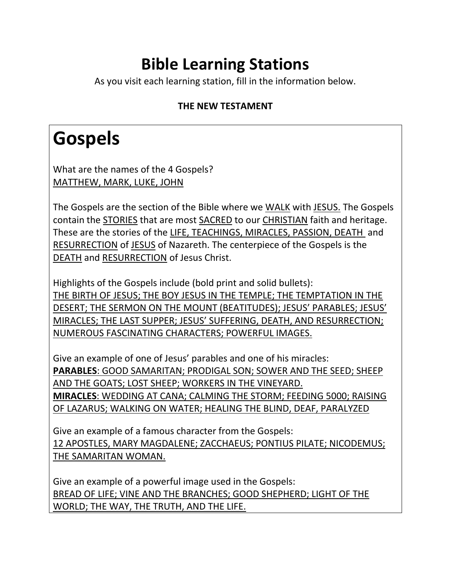#### **Bible Learning Stations**

As you visit each learning station, fill in the information below.

#### **THE NEW TESTAMENT**

### **Gospels**

What are the names of the 4 Gospels? MATTHEW, MARK, LUKE, JOHN

The Gospels are the section of the Bible where we WALK with JESUS. The Gospels contain the STORIES that are most SACRED to our CHRISTIAN faith and heritage. These are the stories of the LIFE, TEACHINGS, MIRACLES, PASSION, DEATH and RESURRECTION of JESUS of Nazareth. The centerpiece of the Gospels is the DEATH and RESURRECTION of Jesus Christ.

Highlights of the Gospels include (bold print and solid bullets): THE BIRTH OF JESUS; THE BOY JESUS IN THE TEMPLE; THE TEMPTATION IN THE DESERT; THE SERMON ON THE MOUNT (BEATITUDES); JESUS' PARABLES; JESUS' MIRACLES; THE LAST SUPPER; JESUS' SUFFERING, DEATH, AND RESURRECTION; NUMEROUS FASCINATING CHARACTERS; POWERFUL IMAGES.

Give an example of one of Jesus' parables and one of his miracles: **PARABLES**: GOOD SAMARITAN; PRODIGAL SON; SOWER AND THE SEED; SHEEP AND THE GOATS; LOST SHEEP; WORKERS IN THE VINEYARD. **MIRACLES**: WEDDING AT CANA; CALMING THE STORM; FEEDING 5000; RAISING OF LAZARUS; WALKING ON WATER; HEALING THE BLIND, DEAF, PARALYZED

Give an example of a famous character from the Gospels: 12 APOSTLES, MARY MAGDALENE; ZACCHAEUS; PONTIUS PILATE; NICODEMUS; THE SAMARITAN WOMAN.

Give an example of a powerful image used in the Gospels: BREAD OF LIFE; VINE AND THE BRANCHES; GOOD SHEPHERD; LIGHT OF THE WORLD; THE WAY, THE TRUTH, AND THE LIFE.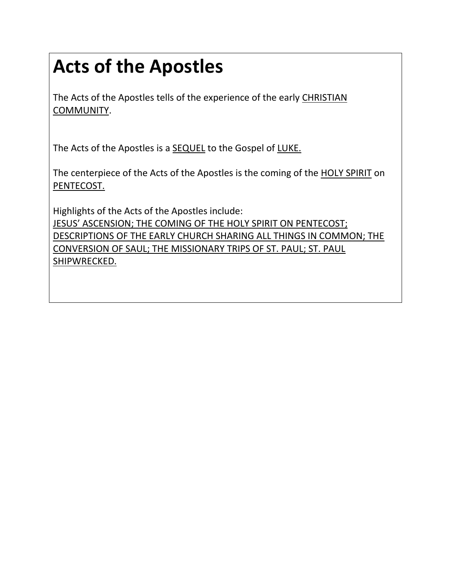# **Acts of the Apostles**

The Acts of the Apostles tells of the experience of the early CHRISTIAN COMMUNITY.

The Acts of the Apostles is a **SEQUEL** to the Gospel of LUKE.

The centerpiece of the Acts of the Apostles is the coming of the HOLY SPIRIT on PENTECOST.

Highlights of the Acts of the Apostles include: JESUS' ASCENSION; THE COMING OF THE HOLY SPIRIT ON PENTECOST; DESCRIPTIONS OF THE EARLY CHURCH SHARING ALL THINGS IN COMMON; THE CONVERSION OF SAUL; THE MISSIONARY TRIPS OF ST. PAUL; ST. PAUL SHIPWRECKED.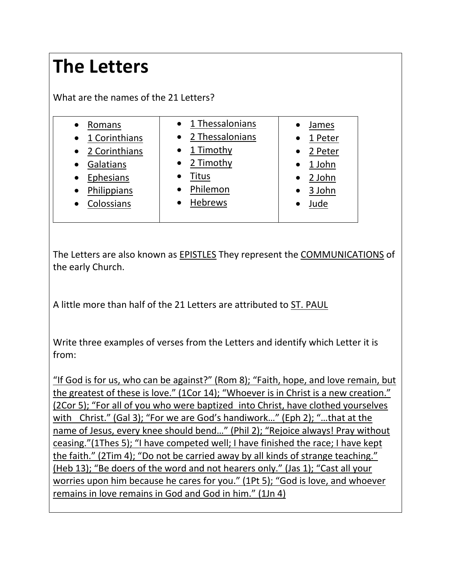#### **The Letters**

What are the names of the 21 Letters?

| Romans                     | 1 Thessalonians     | James               |
|----------------------------|---------------------|---------------------|
| 1 Corinthians<br>$\bullet$ | 2 Thessalonians     | 1 Peter             |
| 2 Corinthians              | $\bullet$ 1 Timothy | 2 Peter             |
| Galatians                  | 2 Timothy           | 1 John<br>$\bullet$ |
| Ephesians                  | Titus               | 2 John              |
| Philippians                | Philemon            | 3 John              |
| Colossians                 | <b>Hebrews</b>      | Jude                |
|                            |                     |                     |

The Letters are also known as EPISTLES They represent the COMMUNICATIONS of the early Church.

A little more than half of the 21 Letters are attributed to ST. PAUL

Write three examples of verses from the Letters and identify which Letter it is from:

"If God is for us, who can be against?" (Rom 8); "Faith, hope, and love remain, but the greatest of these is love." (1Cor 14); "Whoever is in Christ is a new creation." (2Cor 5); "For all of you who were baptized into Christ, have clothed yourselves with Christ." (Gal 3); "For we are God's handiwork..." (Eph 2); "...that at the name of Jesus, every knee should bend…" (Phil 2); "Rejoice always! Pray without ceasing."(1Thes 5); "I have competed well; I have finished the race; I have kept the faith." (2Tim 4); "Do not be carried away by all kinds of strange teaching." (Heb 13); "Be doers of the word and not hearers only." (Jas 1); "Cast all your worries upon him because he cares for you." (1Pt 5); "God is love, and whoever remains in love remains in God and God in him." (1Jn 4)